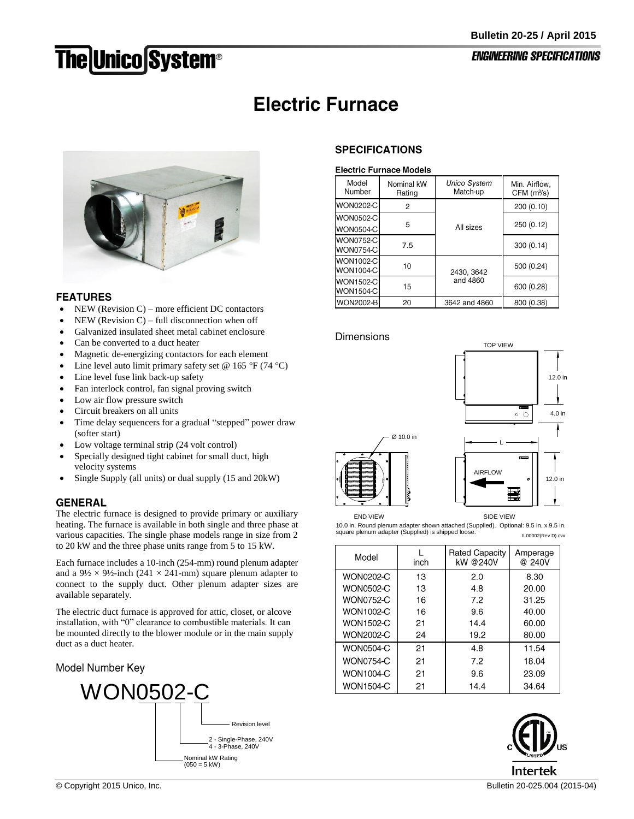# **The Unico System®**

# **Electric Furnace**



# **FEATURES**

- NEW (Revision C) more efficient DC contactors
- NEW (Revision C) full disconnection when off
- Galvanized insulated sheet metal cabinet enclosure
- Can be converted to a duct heater
- Magnetic de-energizing contactors for each element
- Line level auto limit primary safety set @ 165 °F (74 °C)
- Line level fuse link back-up safety
- Fan interlock control, fan signal proving switch
- Low air flow pressure switch
- Circuit breakers on all units
- Time delay sequencers for a gradual "stepped" power draw (softer start)
- Low voltage terminal strip (24 volt control)
- Specially designed tight cabinet for small duct, high velocity systems
- Single Supply (all units) or dual supply (15 and 20kW)

# **GENERAL**

The electric furnace is designed to provide primary or auxiliary heating. The furnace is available in both single and three phase at various capacities. The single phase models range in size from 2 to 20 kW and the three phase units range from 5 to 15 kW.

Each furnace includes a 10-inch (254-mm) round plenum adapter and a  $9\frac{1}{2} \times 9\frac{1}{2}$ -inch (241 × 241-mm) square plenum adapter to connect to the supply duct. Other plenum adapter sizes are available separately.

The electric duct furnace is approved for attic, closet, or alcove installation, with "0" clearance to combustible materials. It can be mounted directly to the blower module or in the main supply duct as a duct heater.

#### Model Number Key



# **SPECIFICATIONS**

#### **Electric Furnace Models**

| Model<br>Number                      | Nominal kW<br>Rating | Unico System<br>Match-up | Min. Airflow.<br>$CFM$ ( $m3/s$ ) |  |
|--------------------------------------|----------------------|--------------------------|-----------------------------------|--|
| <b>WON0202-C</b>                     | 2                    |                          | 200 (0.10)                        |  |
| <b>WON0502-C</b><br><b>WON0504-C</b> | 5                    | All sizes                | 250 (0.12)                        |  |
| <b>WON0752-C</b><br><b>WON0754-C</b> | 7.5                  |                          | 300(0.14)                         |  |
| WON1002-C<br><b>WON1004-C</b>        | 10                   | 2430, 3642               | 500 (0.24)                        |  |
| <b>WON1502-C</b><br><b>WON1504-C</b> | 15                   | and 4860                 | 600 (0.28)                        |  |
| <b>WON2002-B</b>                     | 20                   | 3642 and 4860            | 800 (0.38)                        |  |

### **Dimensions**





10.0 in. Round plenum adapter shown attached (Supplied). Optional: 9.5 in. x 9.5 in. square plenum adapter (Supplied) is shipped loose. IL00002(Rev D).cvx

| Model            | inch | Rated Capacity<br>kW @240V | Amperage<br>@ 240V |  |  |
|------------------|------|----------------------------|--------------------|--|--|
| WON0202-C        | 13   | 2.0                        | 8.30               |  |  |
| WON0502-C        | 13   | 4.8                        | 20.00              |  |  |
| <b>WON0752-C</b> | 16   | 7.2                        | 31.25              |  |  |
| WON1002-C        | 16   | 9.6                        | 40.00              |  |  |
| WON1502-C        | 21   | 14.4                       | 60.00              |  |  |
| WON2002-C        | 24   | 19.2                       | 80.00              |  |  |
| <b>WON0504-C</b> | 21   | 4.8                        | 11.54              |  |  |
| <b>WON0754-C</b> | 21   | 7.2                        | 18.04              |  |  |
| WON1004-C        | 21   | 9.6                        | 23.09              |  |  |
| <b>WON1504-C</b> | 21   | 14.4                       | 34.64              |  |  |